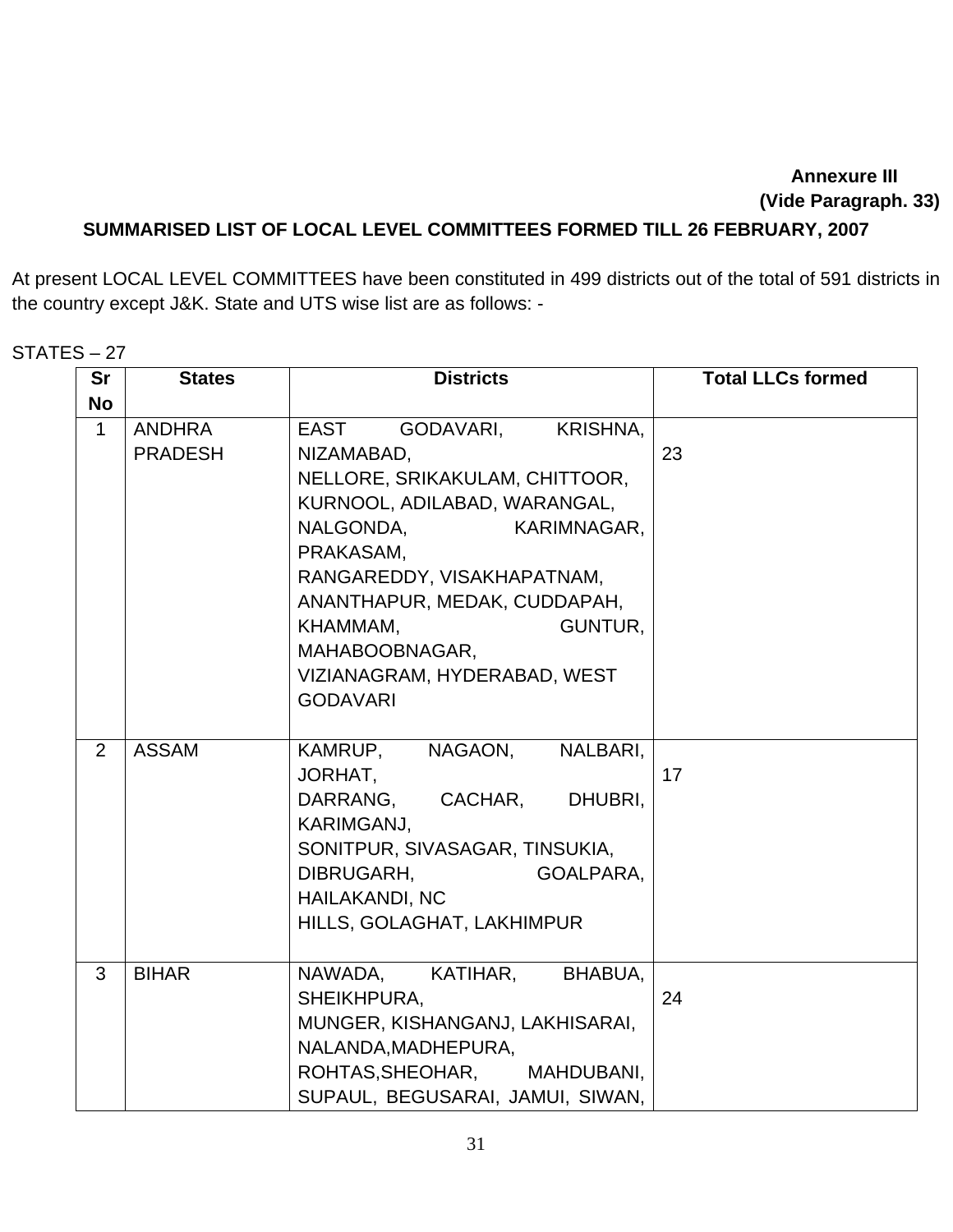## **Annexure III (Vide Paragraph. 33)**

## **SUMMARISED LIST OF LOCAL LEVEL COMMITTEES FORMED TILL 26 FEBRUARY, 2007**

At present LOCAL LEVEL COMMITTEES have been constituted in 499 districts out of the total of 591 districts in the country except J&K. State and UTS wise list are as follows: -

## STATES – 27

| <b>Sr</b>   | <b>States</b>                   | <b>Districts</b>                                                                                                                                                                                                                                                                                                        | <b>Total LLCs formed</b> |
|-------------|---------------------------------|-------------------------------------------------------------------------------------------------------------------------------------------------------------------------------------------------------------------------------------------------------------------------------------------------------------------------|--------------------------|
| <b>No</b>   |                                 |                                                                                                                                                                                                                                                                                                                         |                          |
| $\mathbf 1$ | <b>ANDHRA</b><br><b>PRADESH</b> | EAST<br><b>KRISHNA,</b><br>GODAVARI,<br>NIZAMABAD,<br>NELLORE, SRIKAKULAM, CHITTOOR,<br>KURNOOL, ADILABAD, WARANGAL,<br>NALGONDA,<br>KARIMNAGAR,<br>PRAKASAM,<br>RANGAREDDY, VISAKHAPATNAM,<br>ANANTHAPUR, MEDAK, CUDDAPAH,<br>GUNTUR,<br>KHAMMAM,<br>MAHABOOBNAGAR,<br>VIZIANAGRAM, HYDERABAD, WEST<br><b>GODAVARI</b> | 23                       |
| 2           | <b>ASSAM</b>                    | NAGAON,<br>NALBARI,<br>KAMRUP,<br>JORHAT,<br>DARRANG,<br>CACHAR,<br>DHUBRI,<br><b>KARIMGANJ,</b><br>SONITPUR, SIVASAGAR, TINSUKIA,<br>GOALPARA,<br>DIBRUGARH,<br><b>HAILAKANDI, NC</b><br>HILLS, GOLAGHAT, LAKHIMPUR                                                                                                    | 17                       |
| 3           | <b>BIHAR</b>                    | NAWADA,<br>KATIHAR,<br>BHABUA,<br>SHEIKHPURA,<br>MUNGER, KISHANGANJ, LAKHISARAI,<br>NALANDA, MADHEPURA,<br>ROHTAS, SHEOHAR, MAHDUBANI,<br>SUPAUL, BEGUSARAI, JAMUI, SIWAN,                                                                                                                                              | 24                       |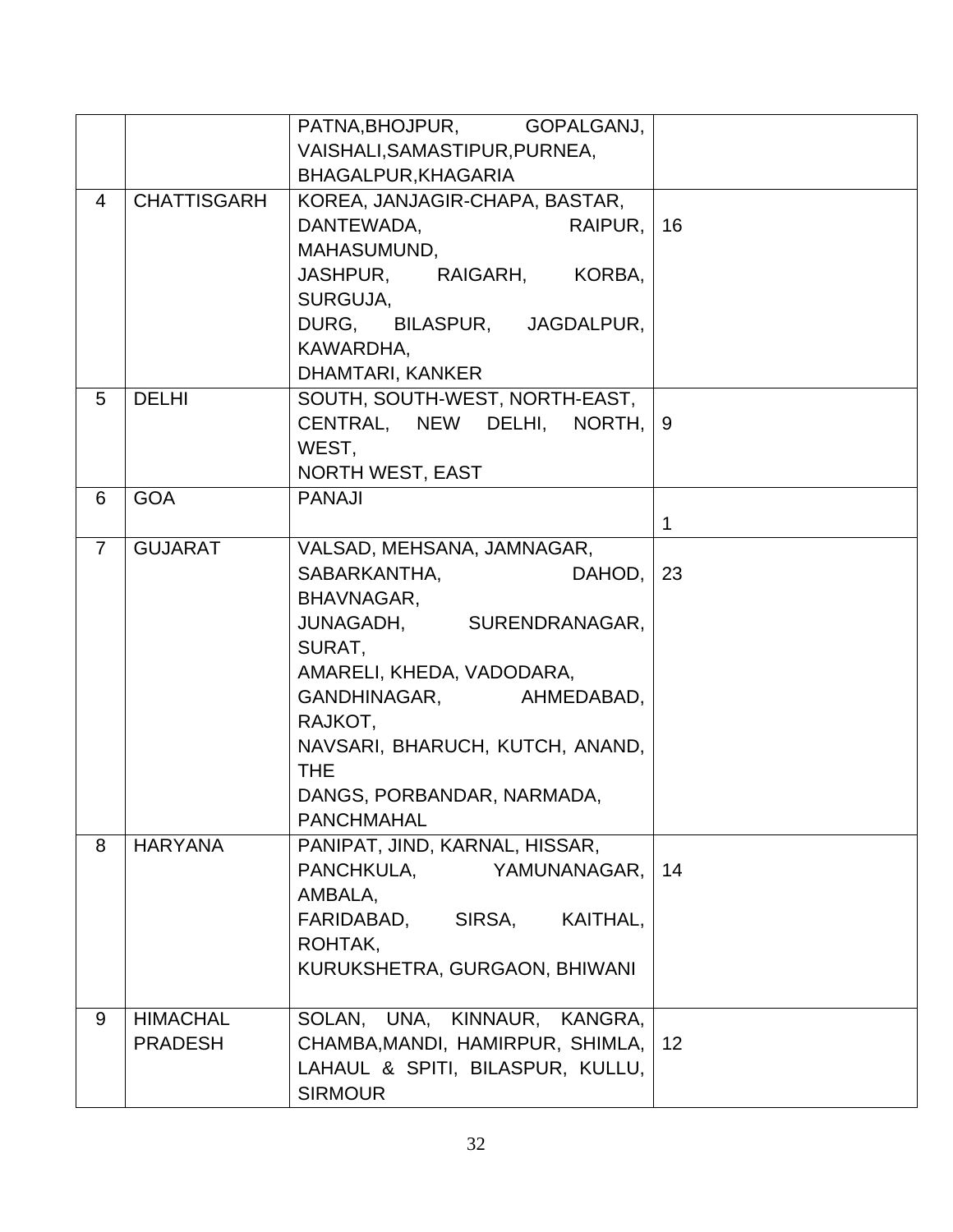|                |                    | PATNA, BHOJPUR, GOPALGANJ,                                   |    |
|----------------|--------------------|--------------------------------------------------------------|----|
|                |                    | VAISHALI, SAMASTIPUR, PURNEA,                                |    |
|                |                    | BHAGALPUR, KHAGARIA                                          |    |
| $\overline{4}$ | <b>CHATTISGARH</b> | KOREA, JANJAGIR-CHAPA, BASTAR,                               |    |
|                |                    | DANTEWADA,<br>RAIPUR.                                        | 16 |
|                |                    | MAHASUMUND,                                                  |    |
|                |                    | JASHPUR, RAIGARH, KORBA,                                     |    |
|                |                    | SURGUJA.                                                     |    |
|                |                    | DURG, BILASPUR, JAGDALPUR,                                   |    |
|                |                    | KAWARDHA,                                                    |    |
|                |                    | <b>DHAMTARI, KANKER</b>                                      |    |
| 5              | <b>DELHI</b>       | SOUTH, SOUTH-WEST, NORTH-EAST,                               |    |
|                |                    | CENTRAL, NEW DELHI, NORTH,                                   | 9  |
|                |                    | WEST,                                                        |    |
|                |                    | <b>NORTH WEST, EAST</b>                                      |    |
| 6              | <b>GOA</b>         | <b>PANAJI</b>                                                |    |
|                |                    |                                                              | 1  |
| $\overline{7}$ | <b>GUJARAT</b>     | VALSAD, MEHSANA, JAMNAGAR,                                   |    |
|                |                    | SABARKANTHA,<br>DAHOD,                                       | 23 |
|                |                    | BHAVNAGAR,                                                   |    |
|                |                    | JUNAGADH, SURENDRANAGAR,                                     |    |
|                |                    | SURAT,                                                       |    |
|                |                    | AMARELI, KHEDA, VADODARA,                                    |    |
|                |                    | GANDHINAGAR, AHMEDABAD,                                      |    |
|                |                    | RAJKOT,                                                      |    |
|                |                    | NAVSARI, BHARUCH, KUTCH, ANAND,                              |    |
|                |                    | <b>THE</b>                                                   |    |
|                |                    | DANGS, PORBANDAR, NARMADA,                                   |    |
| 8              |                    | <b>PANCHMAHAL</b>                                            |    |
|                | <b>HARYANA</b>     | PANIPAT, JIND, KARNAL, HISSAR,<br>PANCHKULA,<br>YAMUNANAGAR, | 14 |
|                |                    | AMBALA,                                                      |    |
|                |                    | FARIDABAD,<br>SIRSA,<br>KAITHAL,                             |    |
|                |                    | ROHTAK,                                                      |    |
|                |                    | KURUKSHETRA, GURGAON, BHIWANI                                |    |
|                |                    |                                                              |    |
| 9              | <b>HIMACHAL</b>    | SOLAN, UNA, KINNAUR, KANGRA,                                 |    |
|                | <b>PRADESH</b>     | CHAMBA, MANDI, HAMIRPUR, SHIMLA,                             | 12 |
|                |                    | LAHAUL & SPITI, BILASPUR, KULLU,                             |    |
|                |                    | <b>SIRMOUR</b>                                               |    |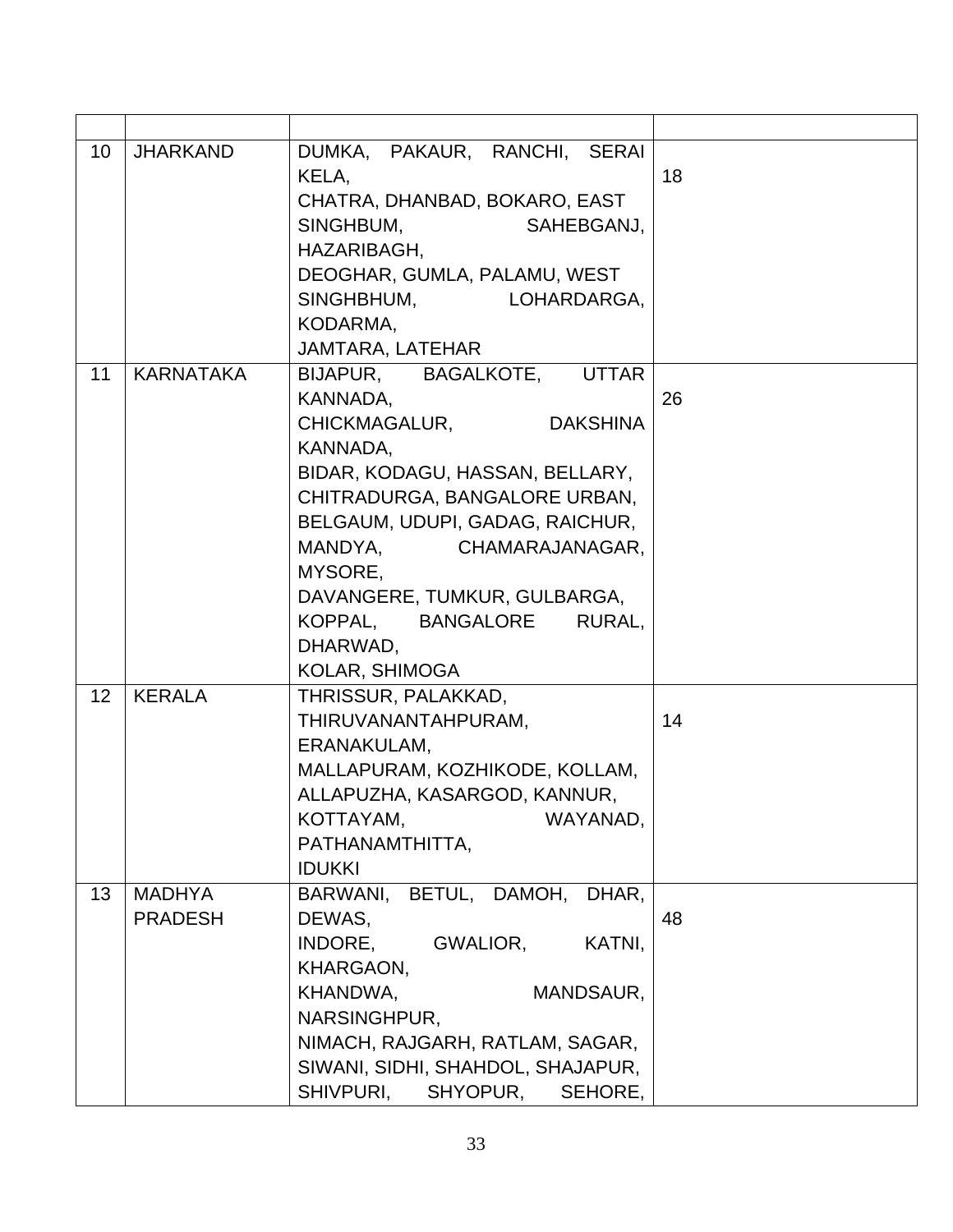| 10              | <b>JHARKAND</b>                 | DUMKA, PAKAUR, RANCHI, SERAI<br>KELA,<br>CHATRA, DHANBAD, BOKARO, EAST<br>SINGHBUM,<br>SAHEBGANJ,<br>HAZARIBAGH,<br>DEOGHAR, GUMLA, PALAMU, WEST<br>SINGHBHUM, LOHARDARGA,                                                                                                                                                                                 | 18 |
|-----------------|---------------------------------|------------------------------------------------------------------------------------------------------------------------------------------------------------------------------------------------------------------------------------------------------------------------------------------------------------------------------------------------------------|----|
|                 |                                 | KODARMA,                                                                                                                                                                                                                                                                                                                                                   |    |
| 11              | <b>KARNATAKA</b>                | JAMTARA, LATEHAR<br>BIJAPUR, BAGALKOTE, UTTAR<br>KANNADA,<br><b>CHICKMAGALUR,</b><br><b>DAKSHINA</b><br>KANNADA,<br>BIDAR, KODAGU, HASSAN, BELLARY,<br>CHITRADURGA, BANGALORE URBAN,<br>BELGAUM, UDUPI, GADAG, RAICHUR,<br>MANDYA, CHAMARAJANAGAR,<br>MYSORE,<br>DAVANGERE, TUMKUR, GULBARGA,<br>KOPPAL, BANGALORE<br>RURAL,<br>DHARWAD,<br>KOLAR, SHIMOGA | 26 |
| 12 <sup>2</sup> | <b>KERALA</b>                   | THRISSUR, PALAKKAD,<br>THIRUVANANTAHPURAM,<br>ERANAKULAM,<br>MALLAPURAM, KOZHIKODE, KOLLAM,<br>ALLAPUZHA, KASARGOD, KANNUR,<br>KOTTAYAM,<br>WAYANAD,<br>PATHANAMTHITTA,<br><b>IDUKKI</b>                                                                                                                                                                   | 14 |
| 13              | <b>MADHYA</b><br><b>PRADESH</b> | BETUL, DAMOH,<br>DHAR.<br>BARWANI,<br>DEWAS,<br>INDORE,<br>GWALIOR,<br>KATNI,<br>KHARGAON,<br>KHANDWA,<br>MANDSAUR,<br>NARSINGHPUR,<br>NIMACH, RAJGARH, RATLAM, SAGAR,<br>SIWANI, SIDHI, SHAHDOL, SHAJAPUR,<br>SHIVPURI,<br>SHYOPUR,<br>SEHORE,                                                                                                            | 48 |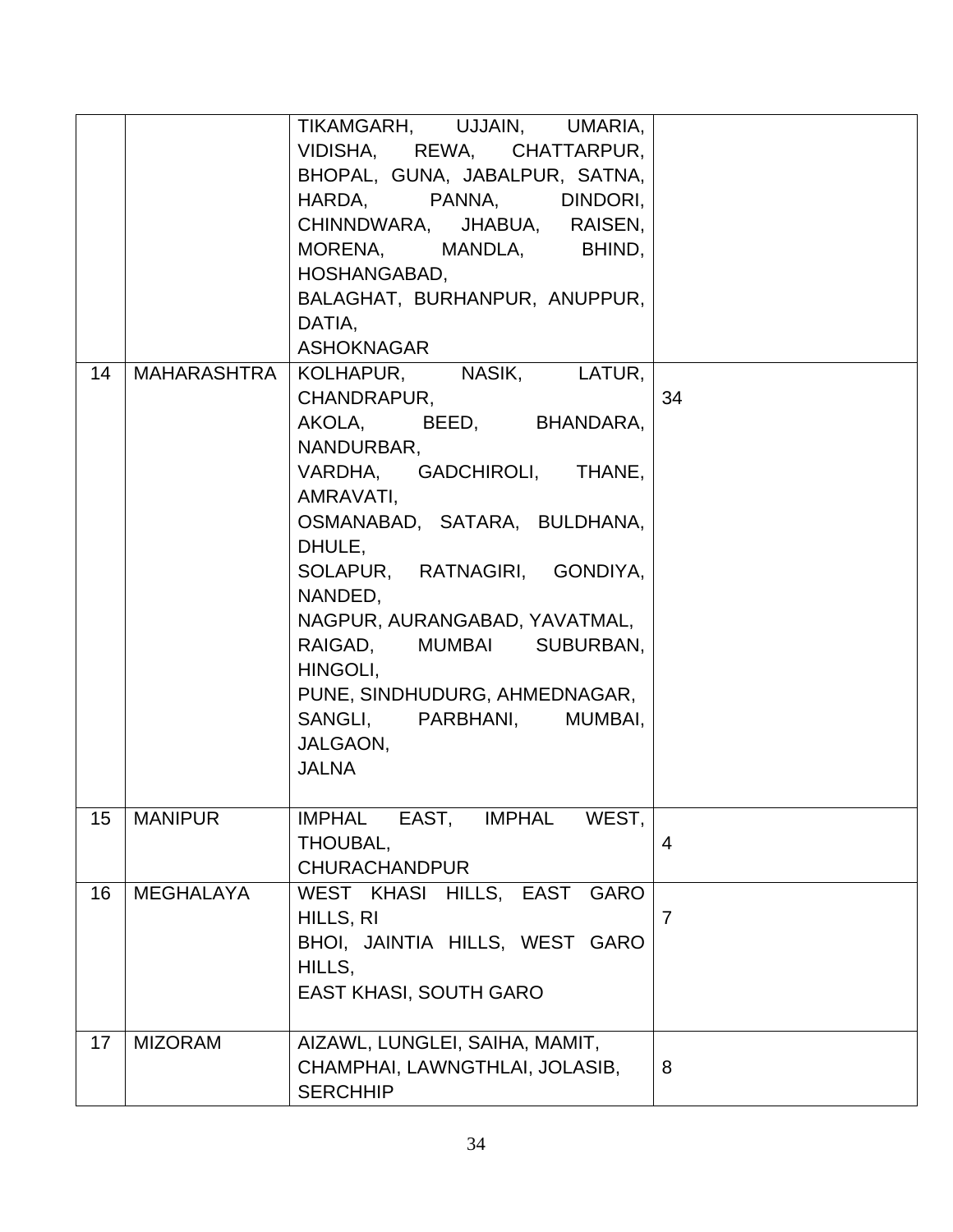| 14 | MAHARASHTRA      | TIKAMGARH, UJJAIN, UMARIA,<br>VIDISHA, REWA, CHATTARPUR,<br>BHOPAL, GUNA, JABALPUR, SATNA,<br>HARDA, PANNA, DINDORI,<br>CHINNDWARA, JHABUA, RAISEN,<br>MORENA, MANDLA, BHIND,<br>HOSHANGABAD,<br>BALAGHAT, BURHANPUR, ANUPPUR,<br>DATIA,<br><b>ASHOKNAGAR</b><br>KOLHAPUR, NASIK, LATUR,                                                               |                |
|----|------------------|--------------------------------------------------------------------------------------------------------------------------------------------------------------------------------------------------------------------------------------------------------------------------------------------------------------------------------------------------------|----------------|
|    |                  | CHANDRAPUR,<br>AKOLA, BEED, BHANDARA,<br>NANDURBAR,<br>VARDHA, GADCHIROLI, THANE,<br>AMRAVATI,<br>OSMANABAD, SATARA, BULDHANA,<br>DHULE,<br>SOLAPUR, RATNAGIRI, GONDIYA,<br>NANDED,<br>NAGPUR, AURANGABAD, YAVATMAL,<br>RAIGAD, MUMBAI SUBURBAN,<br>HINGOLI.<br>PUNE, SINDHUDURG, AHMEDNAGAR,<br>SANGLI, PARBHANI, MUMBAI,<br>JALGAON,<br><b>JALNA</b> | 34             |
| 15 | <b>MANIPUR</b>   | <b>IMPHAL</b><br>EAST,<br>IMPHAL<br>WEST,<br>THOUBAL,<br><b>CHURACHANDPUR</b>                                                                                                                                                                                                                                                                          | 4              |
| 16 | <b>MEGHALAYA</b> | WEST KHASI HILLS, EAST GARO<br>HILLS, RI<br>BHOI, JAINTIA HILLS, WEST GARO<br>HILLS.<br><b>EAST KHASI, SOUTH GARO</b>                                                                                                                                                                                                                                  | $\overline{7}$ |
| 17 | <b>MIZORAM</b>   | AIZAWL, LUNGLEI, SAIHA, MAMIT,<br>CHAMPHAI, LAWNGTHLAI, JOLASIB,<br><b>SERCHHIP</b>                                                                                                                                                                                                                                                                    | 8              |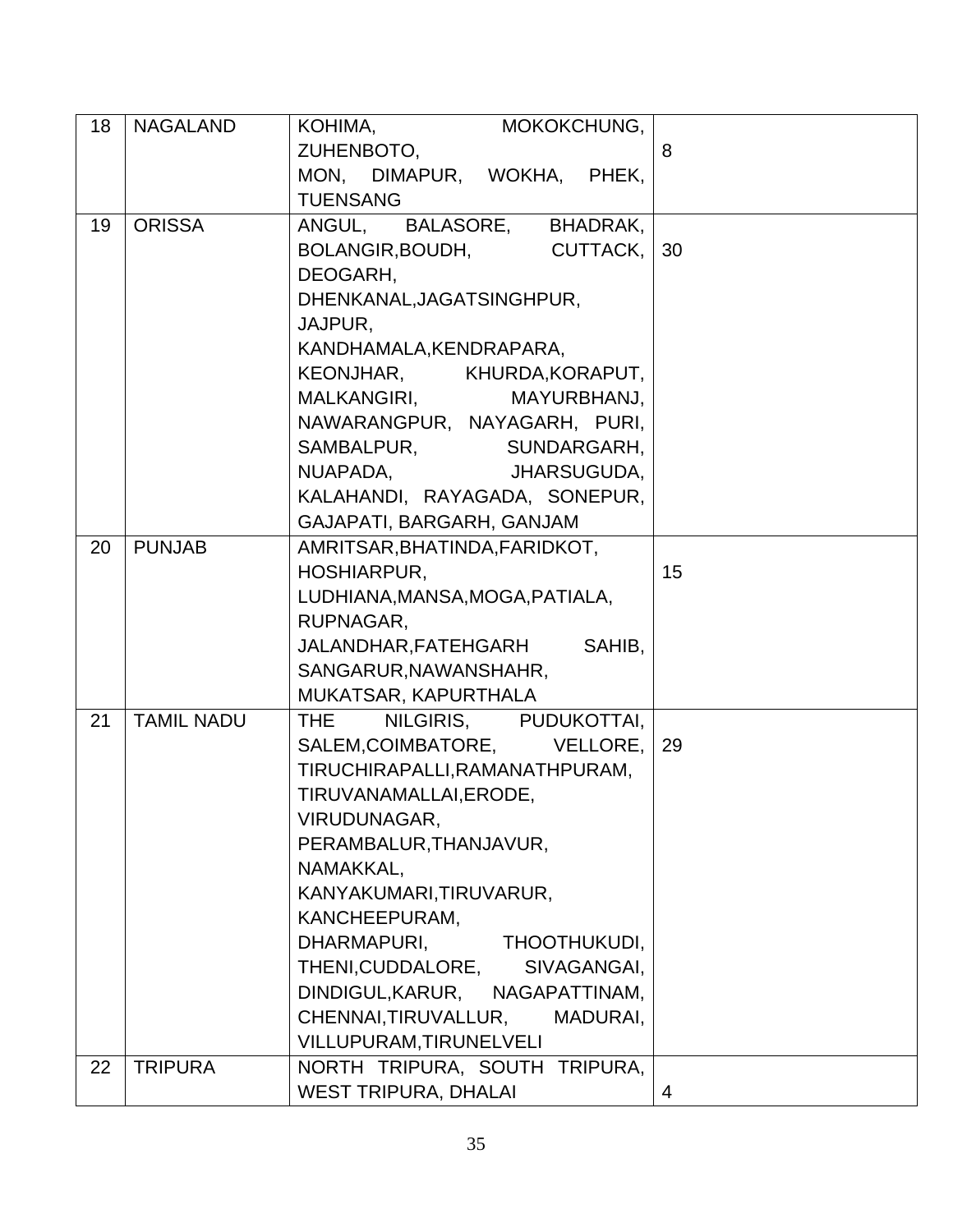| 18 | <b>NAGALAND</b>   | KOHIMA, MOKOKCHUNG,             |    |
|----|-------------------|---------------------------------|----|
|    |                   | ZUHENBOTO,                      | 8  |
|    |                   | MON, DIMAPUR, WOKHA, PHEK,      |    |
|    |                   | <b>TUENSANG</b>                 |    |
| 19 | <b>ORISSA</b>     | ANGUL,<br>BALASORE, BHADRAK,    |    |
|    |                   | BOLANGIR, BOUDH, CUTTACK,       | 30 |
|    |                   | DEOGARH,                        |    |
|    |                   | DHENKANAL, JAGATSINGHPUR,       |    |
|    |                   | JAJPUR,                         |    |
|    |                   | KANDHAMALA, KENDRAPARA,         |    |
|    |                   | KEONJHAR, KHURDA, KORAPUT,      |    |
|    |                   | MALKANGIRI, MAYURBHANJ,         |    |
|    |                   | NAWARANGPUR, NAYAGARH, PURI,    |    |
|    |                   | SAMBALPUR, SUNDARGARH,          |    |
|    |                   | NUAPADA, JHARSUGUDA,            |    |
|    |                   | KALAHANDI, RAYAGADA, SONEPUR,   |    |
|    |                   | GAJAPATI, BARGARH, GANJAM       |    |
| 20 | <b>PUNJAB</b>     | AMRITSAR, BHATINDA, FARIDKOT,   |    |
|    |                   | <b>HOSHIARPUR,</b>              | 15 |
|    |                   | LUDHIANA, MANSA, MOGA, PATIALA, |    |
|    |                   | RUPNAGAR,                       |    |
|    |                   | JALANDHAR, FATEHGARH SAHIB,     |    |
|    |                   | SANGARUR, NAWANSHAHR,           |    |
|    |                   | MUKATSAR, KAPURTHALA            |    |
| 21 | <b>TAMIL NADU</b> | NILGIRIS, PUDUKOTTAI,<br>THE.   |    |
|    |                   | SALEM, COIMBATORE, VELLORE,     | 29 |
|    |                   | TIRUCHIRAPALLI, RAMANATHPURAM,  |    |
|    |                   | TIRUVANAMALLAI, ERODE,          |    |
|    |                   | VIRUDUNAGAR,                    |    |
|    |                   | PERAMBALUR, THANJAVUR,          |    |
|    |                   | NAMAKKAL,                       |    |
|    |                   | KANYAKUMARI, TIRUVARUR,         |    |
|    |                   | KANCHEEPURAM,                   |    |
|    |                   | DHARMAPURI.<br>THOOTHUKUDI,     |    |
|    |                   | THENI, CUDDALORE, SIVAGANGAI,   |    |
|    |                   | DINDIGUL, KARUR, NAGAPATTINAM,  |    |
|    |                   | CHENNAI,TIRUVALLUR,<br>MADURAI, |    |
|    |                   | VILLUPURAM, TIRUNELVELI         |    |
| 22 | <b>TRIPURA</b>    | NORTH TRIPURA, SOUTH TRIPURA,   |    |
|    |                   | <b>WEST TRIPURA, DHALAI</b>     | 4  |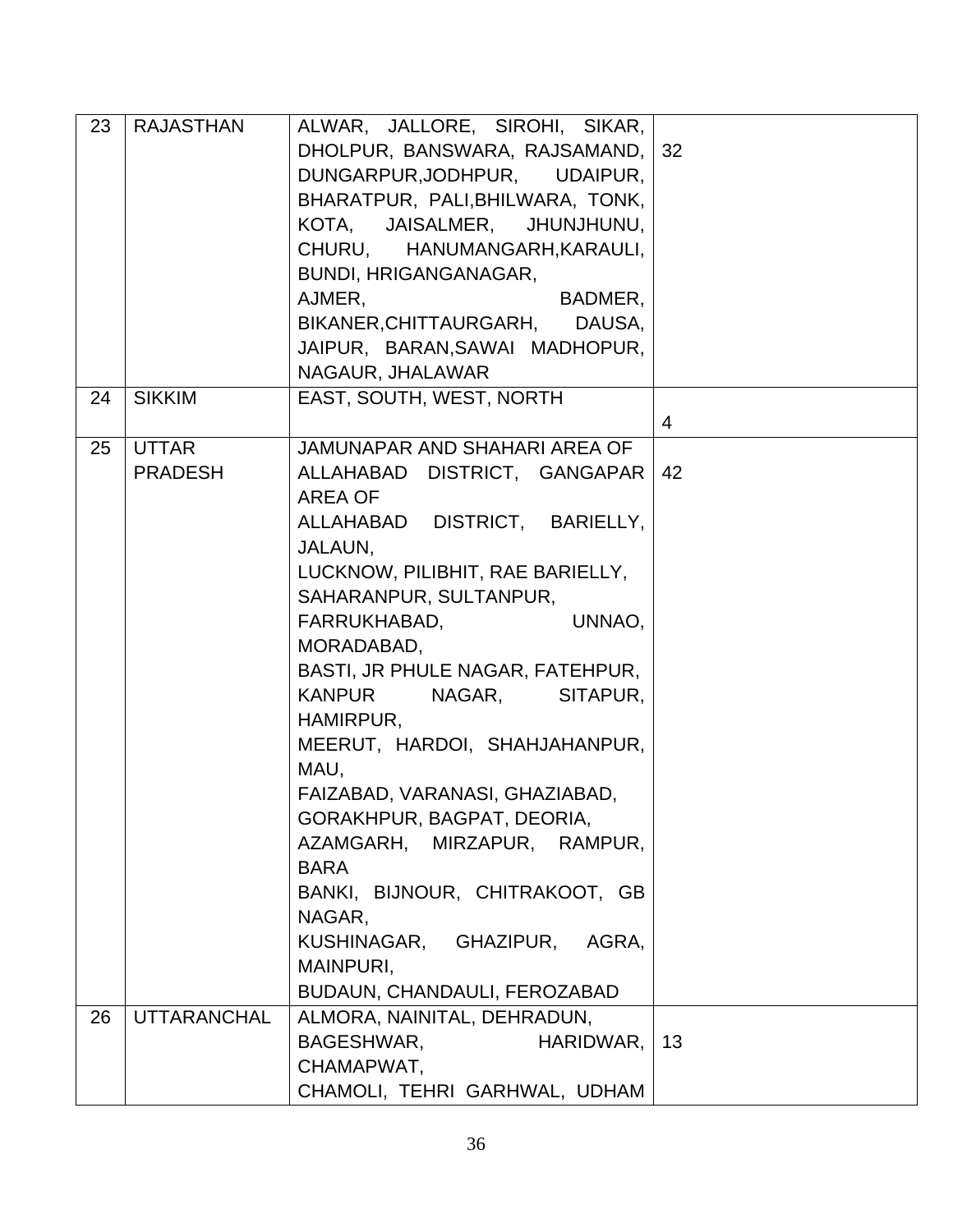| 23 | <b>RAJASTHAN</b>               | ALWAR, JALLORE, SIROHI, SIKAR,<br>DHOLPUR, BANSWARA, RAJSAMAND,<br>DUNGARPUR, JODHPUR, UDAIPUR,<br>BHARATPUR, PALI, BHILWARA, TONK,<br>KOTA, JAISALMER, JHUNJHUNU,<br>CHURU, HANUMANGARH, KARAULI,<br>BUNDI, HRIGANGANAGAR,<br>AJMER,<br>BADMER,<br>BIKANER, CHITTAURGARH, DAUSA,<br>JAIPUR, BARAN, SAWAI MADHOPUR,<br>NAGAUR, JHALAWAR                                                                                                                                                                                                                                                           | 32             |
|----|--------------------------------|---------------------------------------------------------------------------------------------------------------------------------------------------------------------------------------------------------------------------------------------------------------------------------------------------------------------------------------------------------------------------------------------------------------------------------------------------------------------------------------------------------------------------------------------------------------------------------------------------|----------------|
| 24 | <b>SIKKIM</b>                  | EAST, SOUTH, WEST, NORTH                                                                                                                                                                                                                                                                                                                                                                                                                                                                                                                                                                          | $\overline{4}$ |
| 25 | <b>UTTAR</b><br><b>PRADESH</b> | JAMUNAPAR AND SHAHARI AREA OF<br>ALLAHABAD DISTRICT, GANGAPAR<br>AREA OF<br>ALLAHABAD DISTRICT, BARIELLY,<br>JALAUN.<br>LUCKNOW, PILIBHIT, RAE BARIELLY,<br>SAHARANPUR, SULTANPUR,<br>FARRUKHABAD,<br>UNNAO,<br>MORADABAD,<br>BASTI, JR PHULE NAGAR, FATEHPUR,<br><b>KANPUR</b><br>NAGAR, SITAPUR,<br>HAMIRPUR,<br>MEERUT, HARDOI, SHAHJAHANPUR,<br>MAU,<br>FAIZABAD, VARANASI, GHAZIABAD,<br>GORAKHPUR, BAGPAT, DEORIA,<br>AZAMGARH, MIRZAPUR, RAMPUR,<br><b>BARA</b><br>BANKI, BIJNOUR, CHITRAKOOT, GB<br>NAGAR,<br>KUSHINAGAR, GHAZIPUR,<br>AGRA,<br>MAINPURI,<br>BUDAUN, CHANDAULI, FEROZABAD | 42             |
| 26 | <b>UTTARANCHAL</b>             | ALMORA, NAINITAL, DEHRADUN,<br>BAGESHWAR,<br>HARIDWAR,<br>CHAMAPWAT,<br>CHAMOLI, TEHRI GARHWAL, UDHAM                                                                                                                                                                                                                                                                                                                                                                                                                                                                                             | 13             |